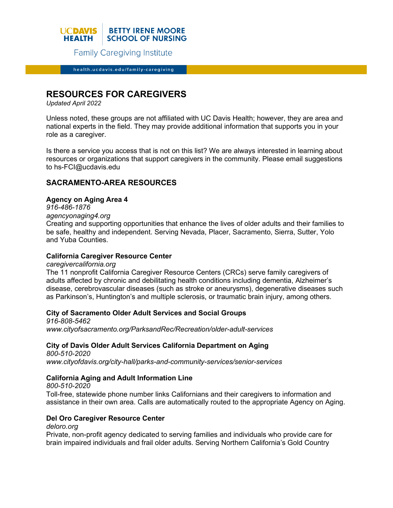

**Family Caregiving Institute** 

health.ucdavis.edu/family-caregiving

# **RESOURCES FOR CAREGIVERS**

*Updated April 2022*

Unless noted, these groups are not affiliated with UC Davis Health; however, they are area and national experts in the field. They may provide additional information that supports you in your role as a caregiver.

Is there a service you access that is not on this list? We are always interested in learning about resources or organizations that support caregivers in the community. Please email suggestions to hs-FCI@ucdavis.edu

# **SACRAMENTO-AREA RESOURCES**

### **Agency on Aging Area 4**

*916-486-1876*

*agencyonaging4.org*

Creating and supporting opportunities that enhance the lives of older adults and their families to be safe, healthy and independent. Serving Nevada, Placer, Sacramento, Sierra, Sutter, Yolo and Yuba Counties.

### **California Caregiver Resource Center**

*caregivercalifornia.org* The 11 nonprofit California Caregiver Resource Centers (CRCs) serve family caregivers of adults affected by chronic and debilitating health conditions including dementia, Alzheimer's disease, cerebrovascular diseases (such as stroke or aneurysms), degenerative diseases such as Parkinson's, Huntington's and multiple sclerosis, or traumatic brain injury, among others.

# **City of Sacramento Older Adult Services and Social Groups**

*916-808-5462 www.cityofsacramento.org/ParksandRec/Recreation/older-adult-services*

# **City of Davis Older Adult Services California Department on Aging**

*800-510-2020 www.cityofdavis.org/city-hall/parks-and-community-services/senior-services*

# **California Aging and Adult Information Line**

*800-510-2020* Toll-free, statewide phone number links Californians and their caregivers to information and assistance in their own area. Calls are automatically routed to the appropriate Agency on Aging.

#### **Del Oro Caregiver Resource Center**

*deloro.org*

Private, non-profit agency dedicated to serving families and individuals who provide care for brain impaired individuals and frail older adults. Serving Northern California's Gold Country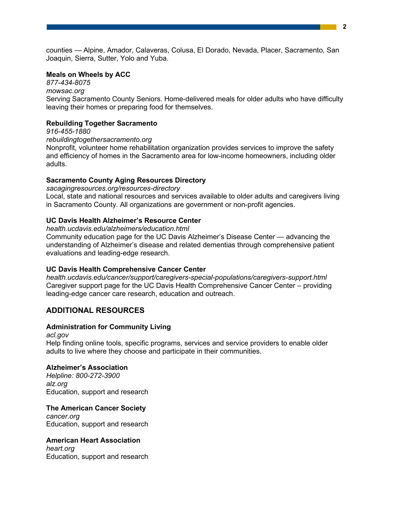counties — Alpine, Amador, Calaveras, Colusa, El Dorado, Nevada, Placer, Sacramento, San Joaquin, Sierra, Sutter, Yolo and Yuba.

### **Meals on Wheels by ACC**

*877-434-8075 mowsac.org* Serving Sacramento County Seniors. Home-delivered meals for older adults who have difficulty leaving their homes or preparing food for themselves.

# **Rebuilding Together Sacramento**

*916-455-1880*

#### *rebuildingtogethersacramento.org*

Nonprofit, volunteer home rehabilitation organization provides services to improve the safety and efficiency of homes in the Sacramento area for low-income homeowners, including older adults.

# **Sacramento County Aging Resources Directory**

*sacagingresources.org/resources-directory*

Local, state and national resources and services available to older adults and caregivers living in Sacramento County. All organizations are government or non-profit agencies.

### **UC Davis Health Alzheimer's Resource Center**

*health.ucdavis.edu/alzheimers/education.html*

Community education page for the UC Davis Alzheimer's Disease Center — advancing the understanding of Alzheimer's disease and related dementias through comprehensive patient evaluations and leading-edge research.

# **UC Davis Health Comprehensive Cancer Center**

*health.ucdavis.edu/cancer/support/caregivers-special-populations/caregivers-support.html* Caregiver support page for the UC Davis Health Comprehensive Cancer Center – providing leading-edge cancer care research, education and outreach.

# **ADDITIONAL RESOURCES**

# **Administration for Community Living**

*acl.gov* Help finding online tools, specific programs, services and service providers to enable older adults to live where they choose and participate in their communities.

# **Alzheimer's Association**

*Helpline: 800-272-3900 alz.org* Education, support and research

# **The American Cancer Society**

*cancer.org* Education, support and research

# **American Heart Association**

*heart.org* Education, support and research **2**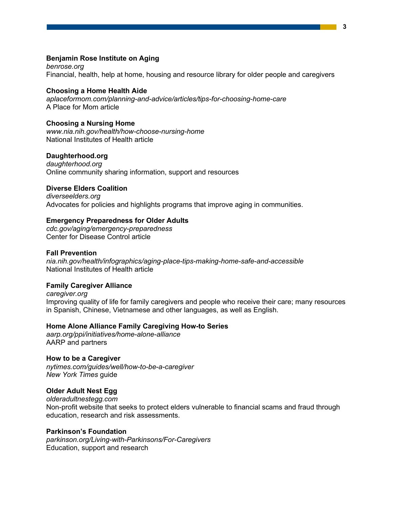#### **Benjamin Rose Institute on Aging**

*benrose.org* Financial, health, help at home, housing and resource library for older people and caregivers

#### **Choosing a Home Health Aide**

*aplaceformom.com/planning-and-advice/articles/tips-for-choosing-home-care* A Place for Mom article

#### **Choosing a Nursing Home**

*www.nia.nih.gov/health/how-choose-nursing-home* National Institutes of Health article

### **Daughterhood.org**

*daughterhood.org* Online community sharing information, support and resources

### **Diverse Elders Coalition**

*diverseelders.org* Advocates for policies and highlights programs that improve aging in communities.

#### **Emergency Preparedness for Older Adults**

*cdc.gov/aging/emergency-preparedness* Center for Disease Control article

#### **Fall Prevention**

*nia.nih.gov/health/infographics/aging-place-tips-making-home-safe-and-accessible* National Institutes of Health article

### **Family Caregiver Alliance**

*caregiver.org* Improving quality of life for family caregivers and people who receive their care; many resources in Spanish, Chinese, Vietnamese and other languages, as well as English.

#### **Home Alone Alliance Family Caregiving How-to Series**

*aarp.org/ppi/initiatives/home-alone-alliance* AARP and partners

#### **How to be a Caregiver**

*nytimes.com/guides/well/how-to-be-a-caregiver New York Times* guide

#### **Older Adult Nest Egg**

*olderadultnestegg.com* Non-profit website that seeks to protect elders vulnerable to financial scams and fraud through education, research and risk assessments.

#### **Parkinson's Foundation**

*parkinson.org/Living-with-Parkinsons/For-Caregivers* Education, support and research